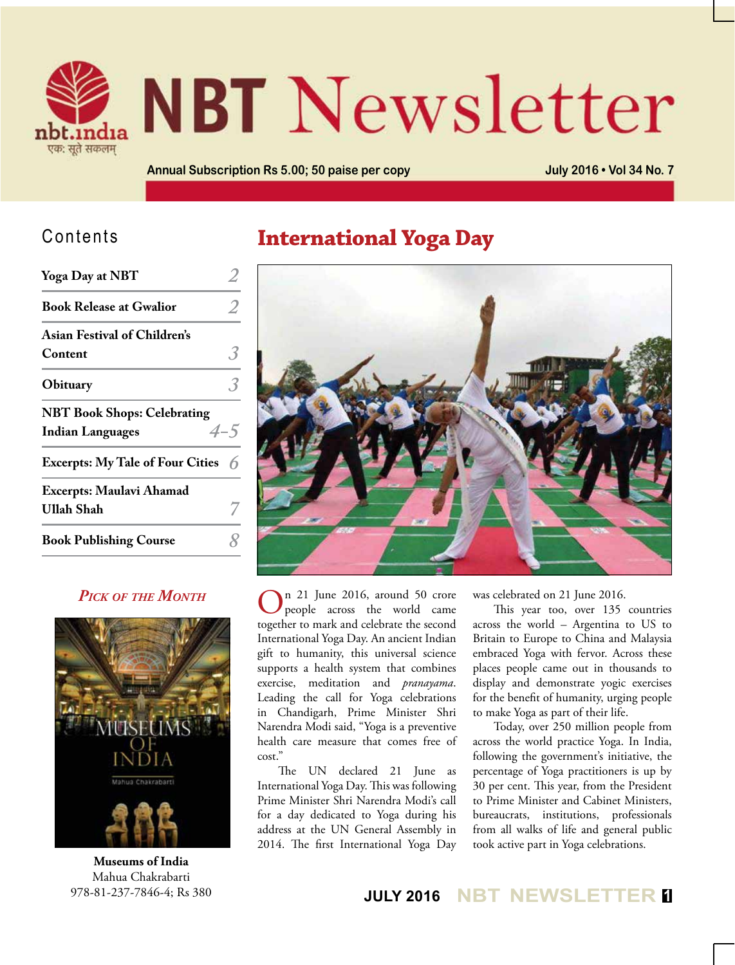

# **NBT** Newsletter

**Annual Subscription Rs 5.00; 50 paise per copy July 2016 • Vol 34 No. 7**

#### Contents

| <b>Yoga Day at NBT</b>                                        |         |
|---------------------------------------------------------------|---------|
| <b>Book Release at Gwalior</b>                                |         |
| <b>Asian Festival of Children's</b><br>Content                |         |
| Obituary                                                      |         |
| <b>NBT Book Shops: Celebrating</b><br><b>Indian Languages</b> | $4 - 5$ |
| <b>Excerpts: My Tale of Four Cities</b>                       |         |
| <b>Excerpts: Maulavi Ahamad</b><br>Ullah Shah                 |         |
| <b>Book Publishing Course</b>                                 |         |
|                                                               |         |

#### *Pick of the Month*



**Museums of India** Mahua Chakrabarti 978-81-237-7846-4; Rs 380

#### **International Yoga Day**



On 21 June 2016, around 50 crore people across the world came together to mark and celebrate the second International Yoga Day. An ancient Indian gift to humanity, this universal science supports a health system that combines exercise, meditation and *pranayama*. Leading the call for Yoga celebrations in Chandigarh, Prime Minister Shri Narendra Modi said, "Yoga is a preventive health care measure that comes free of cost."

The UN declared 21 June as International Yoga Day. This was following Prime Minister Shri Narendra Modi's call for a day dedicated to Yoga during his address at the UN General Assembly in 2014. The first International Yoga Day

was celebrated on 21 June 2016.

This year too, over 135 countries across the world – Argentina to US to Britain to Europe to China and Malaysia embraced Yoga with fervor. Across these places people came out in thousands to display and demonstrate yogic exercises for the benefit of humanity, urging people to make Yoga as part of their life.

Today, over 250 million people from across the world practice Yoga. In India, following the government's initiative, the percentage of Yoga practitioners is up by 30 per cent. This year, from the President to Prime Minister and Cabinet Ministers, bureaucrats, institutions, professionals from all walks of life and general public took active part in Yoga celebrations.

**JULY 2016 NBT NEWSLETTER <sup>1</sup>**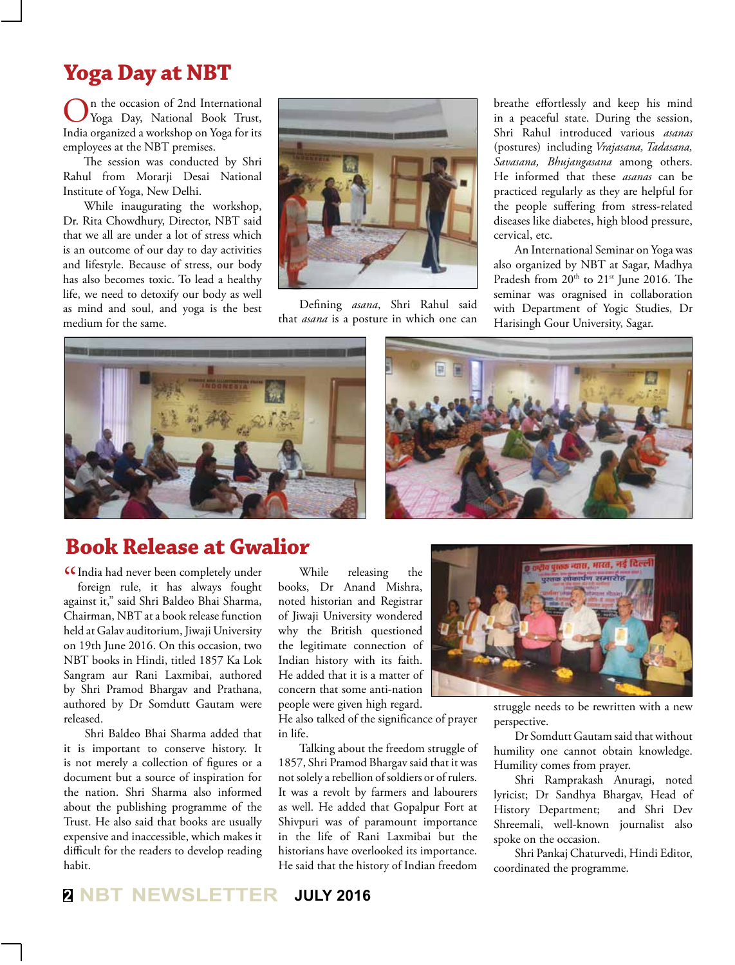#### **Yoga Day at NBT**

On the occasion of 2nd International Yoga Day, National Book Trust, India organized a workshop on Yoga for its employees at the NBT premises.

The session was conducted by Shri Rahul from Morarji Desai National Institute of Yoga, New Delhi.

While inaugurating the workshop, Dr. Rita Chowdhury, Director, NBT said that we all are under a lot of stress which is an outcome of our day to day activities and lifestyle. Because of stress, our body has also becomes toxic. To lead a healthy life, we need to detoxify our body as well as mind and soul, and yoga is the best medium for the same.



Defining *asana*, Shri Rahul said that *asana* is a posture in which one can

breathe effortlessly and keep his mind in a peaceful state. During the session, Shri Rahul introduced various *asanas* (postures) including *Vrajasana, Tadasana, Savasana, Bhujangasana* among others. He informed that these *asanas* can be practiced regularly as they are helpful for the people suffering from stress-related diseases like diabetes, high blood pressure, cervical, etc.

An International Seminar on Yoga was also organized by NBT at Sagar, Madhya Pradesh from 20<sup>th</sup> to 21<sup>st</sup> June 2016. The seminar was oragnised in collaboration with Department of Yogic Studies, Dr Harisingh Gour University, Sagar.



#### **Book Release at Gwalior**

CIndia had never been completely under<br>foreign rule, it has always fought foreign rule, it has always fought against it," said Shri Baldeo Bhai Sharma, Chairman, NBT at a book release function held at Galav auditorium, Jiwaji University on 19th June 2016. On this occasion, two NBT books in Hindi, titled 1857 Ka Lok Sangram aur Rani Laxmibai, authored by Shri Pramod Bhargav and Prathana, authored by Dr Somdutt Gautam were released.

Shri Baldeo Bhai Sharma added that it is important to conserve history. It is not merely a collection of figures or a document but a source of inspiration for the nation. Shri Sharma also informed about the publishing programme of the Trust. He also said that books are usually expensive and inaccessible, which makes it difficult for the readers to develop reading habit.

While releasing the books, Dr Anand Mishra, noted historian and Registrar of Jiwaji University wondered why the British questioned the legitimate connection of Indian history with its faith. He added that it is a matter of concern that some anti-nation people were given high regard.

He also talked of the significance of prayer in life.

Talking about the freedom struggle of 1857, Shri Pramod Bhargav said that it was not solely a rebellion of soldiers or of rulers. It was a revolt by farmers and labourers as well. He added that Gopalpur Fort at Shivpuri was of paramount importance in the life of Rani Laxmibai but the historians have overlooked its importance. He said that the history of Indian freedom



struggle needs to be rewritten with a new perspective.

Dr Somdutt Gautam said that without humility one cannot obtain knowledge. Humility comes from prayer.

Shri Ramprakash Anuragi, noted lyricist; Dr Sandhya Bhargav, Head of History Department; and Shri Dev Shreemali, well-known journalist also spoke on the occasion.

Shri Pankaj Chaturvedi, Hindi Editor, coordinated the programme.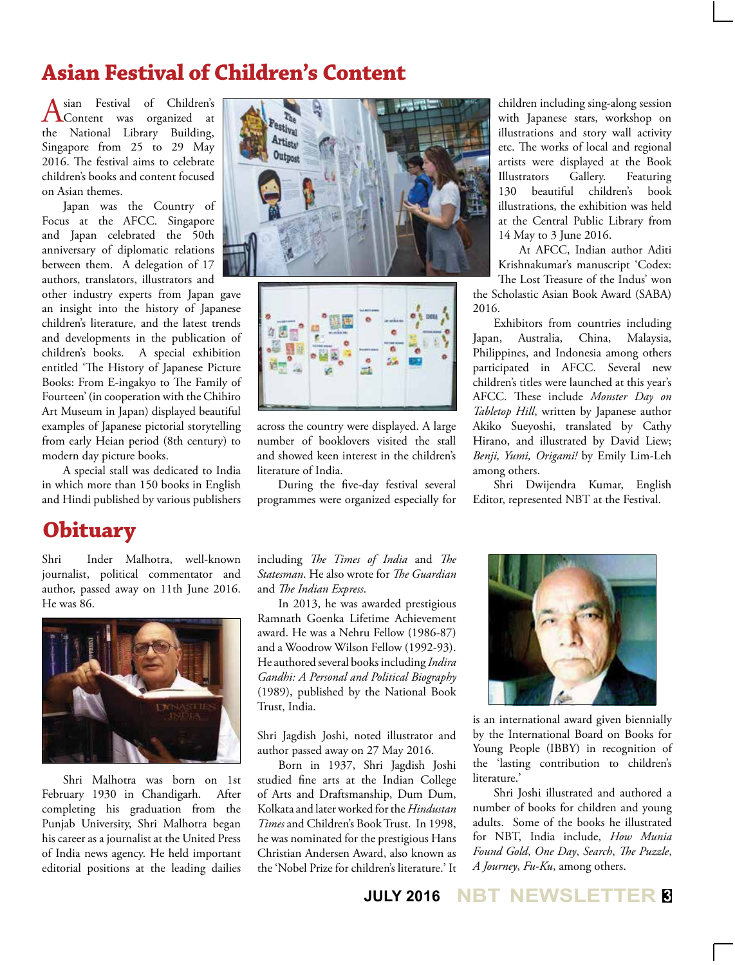# **Asian Festival of Children's Content**

Asian Festival of Children's<br>
Content was organized at the National Library Building, Singapore from 25 to 29 May 2016. The festival aims to celebrate children's books and content focused on Asian themes.

Japan was the Country of Focus at the AFCC. Singapore and Japan celebrated the 50th anniversary of diplomatic relations between them. A delegation of 17 authors, translators, illustrators and

other industry experts from Japan gave an insight into the history of Japanese children's literature, and the latest trends and developments in the publication of children's books. A special exhibition entitled 'The History of Japanese Picture Books: From E-ingakyo to The Family of Fourteen' (in cooperation with the Chihiro Art Museum in Japan) displayed beautiful examples of Japanese pictorial storytelling from early Heian period (8th century) to modern day picture books.

A special stall was dedicated to India in which more than 150 books in English and Hindi published by various publishers

#### **Obituary**

Shri Inder Malhotra, well-known journalist, political commentator and author, passed away on 11th June 2016. He was 86.



Shri Malhotra was born on 1st February 1930 in Chandigarh. After completing his graduation from the Punjab University, Shri Malhotra began his career as a journalist at the United Press of India news agency. He held important editorial positions at the leading dailies





across the country were displayed. A large number of booklovers visited the stall and showed keen interest in the children's literature of India.

During the five-day festival several programmes were organized especially for

including *The Times of India* and *The Statesman*. He also wrote for *The Guardian* and *The Indian Express*.

In 2013, he was awarded prestigious Ramnath Goenka Lifetime Achievement award. He was a Nehru Fellow (1986-87) and a Woodrow Wilson Fellow (1992-93). He authored several books including *Indira Gandhi: A Personal and Political Biography*  (1989), published by the National Book Trust, India.

Shri Jagdish Joshi, noted illustrator and author passed away on 27 May 2016.

Born in 1937, Shri Jagdish Joshi studied fine arts at the Indian College of Arts and Draftsmanship, Dum Dum, Kolkata and later worked for the *Hindustan Times* and Children's Book Trust. In 1998, he was nominated for the prestigious Hans Christian Andersen Award, also known as the 'Nobel Prize for children's literature.' It

children including sing-along session with Japanese stars, workshop on illustrations and story wall activity etc. The works of local and regional artists were displayed at the Book Illustrators Gallery. Featuring 130 beautiful children's book illustrations, the exhibition was held at the Central Public Library from 14 May to 3 June 2016.

At AFCC, Indian author Aditi Krishnakumar's manuscript 'Codex: The Lost Treasure of the Indus' won the Scholastic Asian Book Award (SABA)

2016. Exhibitors from countries including

Japan, Australia, China, Malaysia, Philippines, and Indonesia among others participated in AFCC. Several new children's titles were launched at this year's AFCC. These include *Monster Day on Tabletop Hill*, written by Japanese author Akiko Sueyoshi, translated by Cathy Hirano, and illustrated by David Liew; *Benji, Yumi, Origami!* by Emily Lim-Leh among others.

Shri Dwijendra Kumar, English Editor, represented NBT at the Festival.



is an international award given biennially by the International Board on Books for Young People (IBBY) in recognition of the 'lasting contribution to children's literature.'

Shri Joshi illustrated and authored a number of books for children and young adults. Some of the books he illustrated for NBT, India include, *How Munia Found Gold*, *One Day*, *Search*, *The Puzzle*, *A Journey*, *Fu-Ku*, among others.

#### **JULY 2016 NBT NEWSLETTER <sup>3</sup>**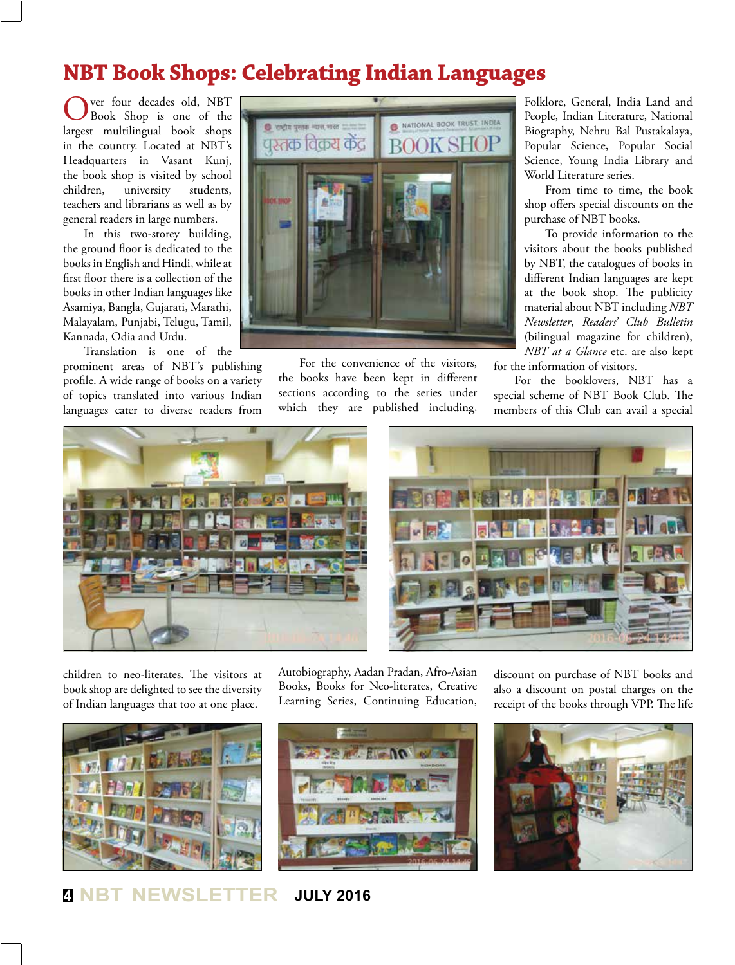## **NBT Book Shops: Celebrating Indian Languages**

Over four decades old, NBT Book Shop is one of the largest multilingual book shops in the country. Located at NBT's Headquarters in Vasant Kunj, the book shop is visited by school children, university students, teachers and librarians as well as by general readers in large numbers.

In this two-storey building, the ground floor is dedicated to the books in English and Hindi, while at first floor there is a collection of the books in other Indian languages like Asamiya, Bangla, Gujarati, Marathi, Malayalam, Punjabi, Telugu, Tamil, Kannada, Odia and Urdu.

Translation is one of the prominent areas of NBT's publishing profile. A wide range of books on a variety of topics translated into various Indian languages cater to diverse readers from



For the convenience of the visitors, the books have been kept in different sections according to the series under which they are published including,

Folklore, General, India Land and People, Indian Literature, National Biography, Nehru Bal Pustakalaya, Popular Science, Popular Social Science, Young India Library and World Literature series.

From time to time, the book shop offers special discounts on the purchase of NBT books.

To provide information to the visitors about the books published by NBT, the catalogues of books in different Indian languages are kept at the book shop. The publicity material about NBT including *NBT Newsletter*, *Readers' Club Bulletin*  (bilingual magazine for children), *NBT at a Glance* etc. are also kept

for the information of visitors.

For the booklovers, NBT has a special scheme of NBT Book Club. The members of this Club can avail a special





children to neo-literates. The visitors at book shop are delighted to see the diversity of Indian languages that too at one place.



Autobiography, Aadan Pradan, Afro-Asian Books, Books for Neo-literates, Creative Learning Series, Continuing Education,





discount on purchase of NBT books and also a discount on postal charges on the

**<sup>4</sup> NBT NEWSLETTER JULY 2016**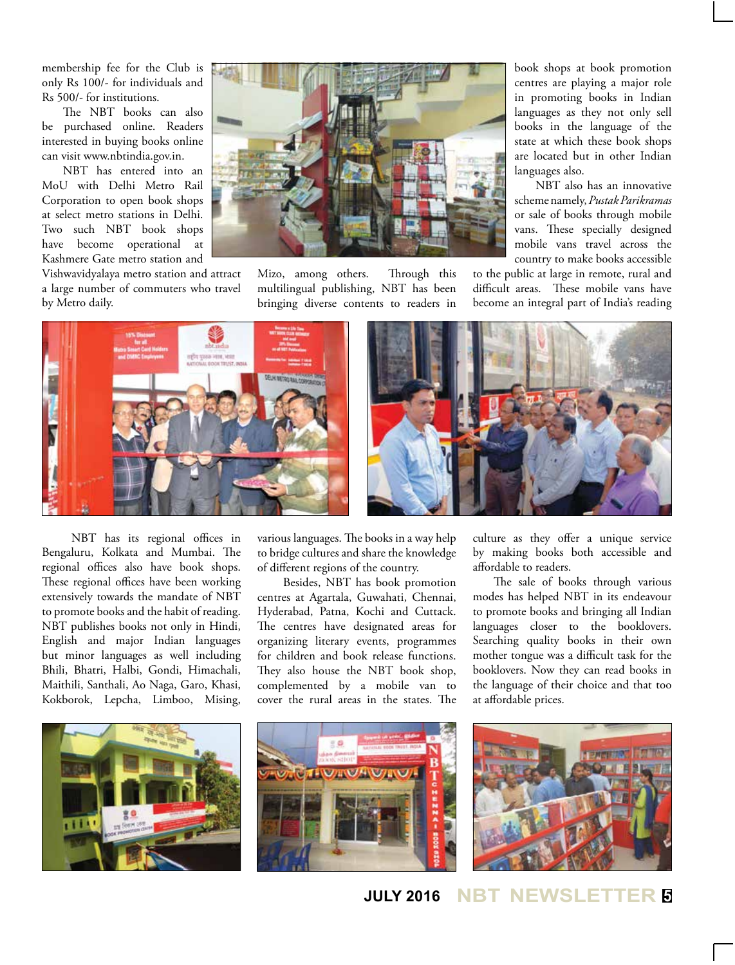membership fee for the Club is only Rs 100/- for individuals and Rs 500/- for institutions.

The NBT books can also be purchased online. Readers interested in buying books online can visit www.nbtindia.gov.in.

NBT has entered into an MoU with Delhi Metro Rail Corporation to open book shops at select metro stations in Delhi. Two such NBT book shops have become operational at Kashmere Gate metro station and

Vishwavidyalaya metro station and attract a large number of commuters who travel by Metro daily.



Mizo, among others. Through this multilingual publishing, NBT has been bringing diverse contents to readers in book shops at book promotion centres are playing a major role in promoting books in Indian languages as they not only sell books in the language of the state at which these book shops are located but in other Indian languages also.

NBT also has an innovative scheme namely, *Pustak Parikramas*  or sale of books through mobile vans. These specially designed mobile vans travel across the country to make books accessible

to the public at large in remote, rural and difficult areas. These mobile vans have become an integral part of India's reading



 NBT has its regional offices in Bengaluru, Kolkata and Mumbai. The regional offices also have book shops. These regional offices have been working extensively towards the mandate of NBT to promote books and the habit of reading. NBT publishes books not only in Hindi, English and major Indian languages but minor languages as well including Bhili, Bhatri, Halbi, Gondi, Himachali, Maithili, Santhali, Ao Naga, Garo, Khasi, Kokborok, Lepcha, Limboo, Mising, various languages. The books in a way help to bridge cultures and share the knowledge of different regions of the country.

 Besides, NBT has book promotion centres at Agartala, Guwahati, Chennai, Hyderabad, Patna, Kochi and Cuttack. The centres have designated areas for organizing literary events, programmes for children and book release functions. They also house the NBT book shop, complemented by a mobile van to cover the rural areas in the states. The culture as they offer a unique service by making books both accessible and affordable to readers.

The sale of books through various modes has helped NBT in its endeavour to promote books and bringing all Indian languages closer to the booklovers. Searching quality books in their own mother tongue was a difficult task for the booklovers. Now they can read books in the language of their choice and that too at affordable prices.



**JULY 2016 NBT NEWSLETTER <sup>5</sup>**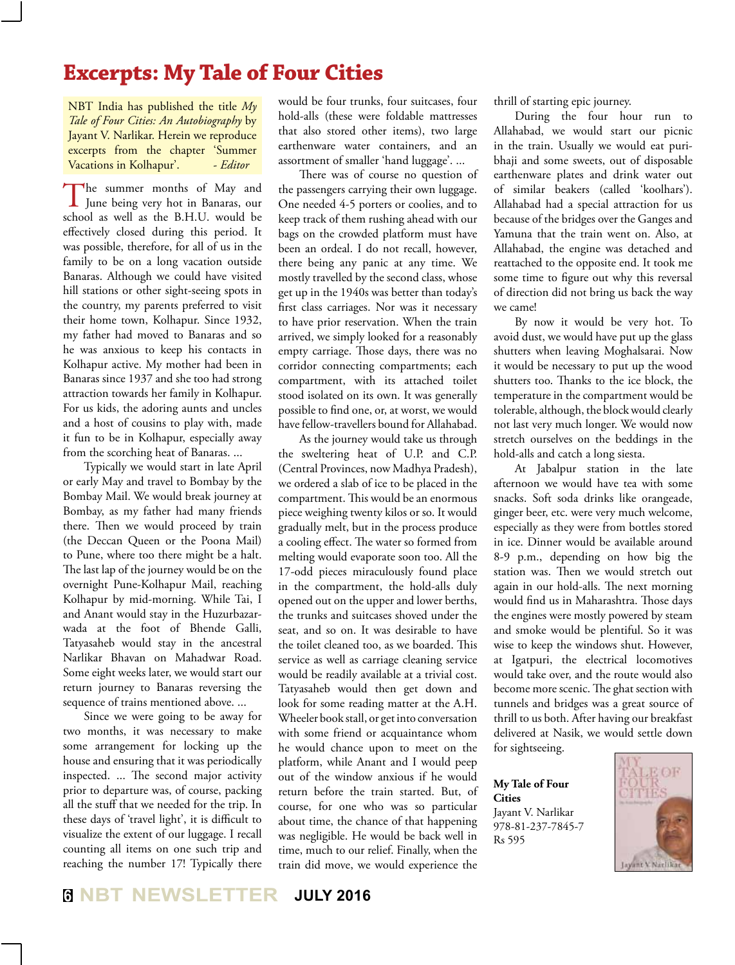#### **Excerpts: My Tale of Four Cities**

NBT India has published the title *My Tale of Four Cities: An Autobiography* by Jayant V. Narlikar. Herein we reproduce excerpts from the chapter 'Summer Vacations in Kolhapur'. - *Editor* 

The summer months of May and<br>June being very hot in Banaras, our school as well as the B.H.U. would be effectively closed during this period. It was possible, therefore, for all of us in the family to be on a long vacation outside Banaras. Although we could have visited hill stations or other sight-seeing spots in the country, my parents preferred to visit their home town, Kolhapur. Since 1932, my father had moved to Banaras and so he was anxious to keep his contacts in Kolhapur active. My mother had been in Banaras since 1937 and she too had strong attraction towards her family in Kolhapur. For us kids, the adoring aunts and uncles and a host of cousins to play with, made it fun to be in Kolhapur, especially away from the scorching heat of Banaras. ...

Typically we would start in late April or early May and travel to Bombay by the Bombay Mail. We would break journey at Bombay, as my father had many friends there. Then we would proceed by train (the Deccan Queen or the Poona Mail) to Pune, where too there might be a halt. The last lap of the journey would be on the overnight Pune-Kolhapur Mail, reaching Kolhapur by mid-morning. While Tai, I and Anant would stay in the Huzurbazarwada at the foot of Bhende Galli, Tatyasaheb would stay in the ancestral Narlikar Bhavan on Mahadwar Road. Some eight weeks later, we would start our return journey to Banaras reversing the sequence of trains mentioned above. ...

Since we were going to be away for two months, it was necessary to make some arrangement for locking up the house and ensuring that it was periodically inspected. ... The second major activity prior to departure was, of course, packing all the stuff that we needed for the trip. In these days of 'travel light', it is difficult to visualize the extent of our luggage. I recall counting all items on one such trip and reaching the number 17! Typically there

would be four trunks, four suitcases, four hold-alls (these were foldable mattresses that also stored other items), two large earthenware water containers, and an assortment of smaller 'hand luggage'. ...

There was of course no question of the passengers carrying their own luggage. One needed 4-5 porters or coolies, and to keep track of them rushing ahead with our bags on the crowded platform must have been an ordeal. I do not recall, however, there being any panic at any time. We mostly travelled by the second class, whose get up in the 1940s was better than today's first class carriages. Nor was it necessary to have prior reservation. When the train arrived, we simply looked for a reasonably empty carriage. Those days, there was no corridor connecting compartments; each compartment, with its attached toilet stood isolated on its own. It was generally possible to find one, or, at worst, we would have fellow-travellers bound for Allahabad.

As the journey would take us through the sweltering heat of U.P. and C.P. (Central Provinces, now Madhya Pradesh), we ordered a slab of ice to be placed in the compartment. This would be an enormous piece weighing twenty kilos or so. It would gradually melt, but in the process produce a cooling effect. The water so formed from melting would evaporate soon too. All the 17-odd pieces miraculously found place in the compartment, the hold-alls duly opened out on the upper and lower berths, the trunks and suitcases shoved under the seat, and so on. It was desirable to have the toilet cleaned too, as we boarded. This service as well as carriage cleaning service would be readily available at a trivial cost. Tatyasaheb would then get down and look for some reading matter at the A.H. Wheeler book stall, or get into conversation with some friend or acquaintance whom he would chance upon to meet on the platform, while Anant and I would peep out of the window anxious if he would return before the train started. But, of course, for one who was so particular about time, the chance of that happening was negligible. He would be back well in time, much to our relief. Finally, when the train did move, we would experience the

thrill of starting epic journey.

During the four hour run to Allahabad, we would start our picnic in the train. Usually we would eat puribhaji and some sweets, out of disposable earthenware plates and drink water out of similar beakers (called 'koolhars'). Allahabad had a special attraction for us because of the bridges over the Ganges and Yamuna that the train went on. Also, at Allahabad, the engine was detached and reattached to the opposite end. It took me some time to figure out why this reversal of direction did not bring us back the way we came!

By now it would be very hot. To avoid dust, we would have put up the glass shutters when leaving Moghalsarai. Now it would be necessary to put up the wood shutters too. Thanks to the ice block, the temperature in the compartment would be tolerable, although, the block would clearly not last very much longer. We would now stretch ourselves on the beddings in the hold-alls and catch a long siesta.

At Jabalpur station in the late afternoon we would have tea with some snacks. Soft soda drinks like orangeade, ginger beer, etc. were very much welcome, especially as they were from bottles stored in ice. Dinner would be available around 8-9 p.m., depending on how big the station was. Then we would stretch out again in our hold-alls. The next morning would find us in Maharashtra. Those days the engines were mostly powered by steam and smoke would be plentiful. So it was wise to keep the windows shut. However, at Igatpuri, the electrical locomotives would take over, and the route would also become more scenic. The ghat section with tunnels and bridges was a great source of thrill to us both. After having our breakfast delivered at Nasik, we would settle down for sightseeing.

**My Tale of Four Cities** Jayant V. Narlikar

978-81-237-7845-7 Rs 595

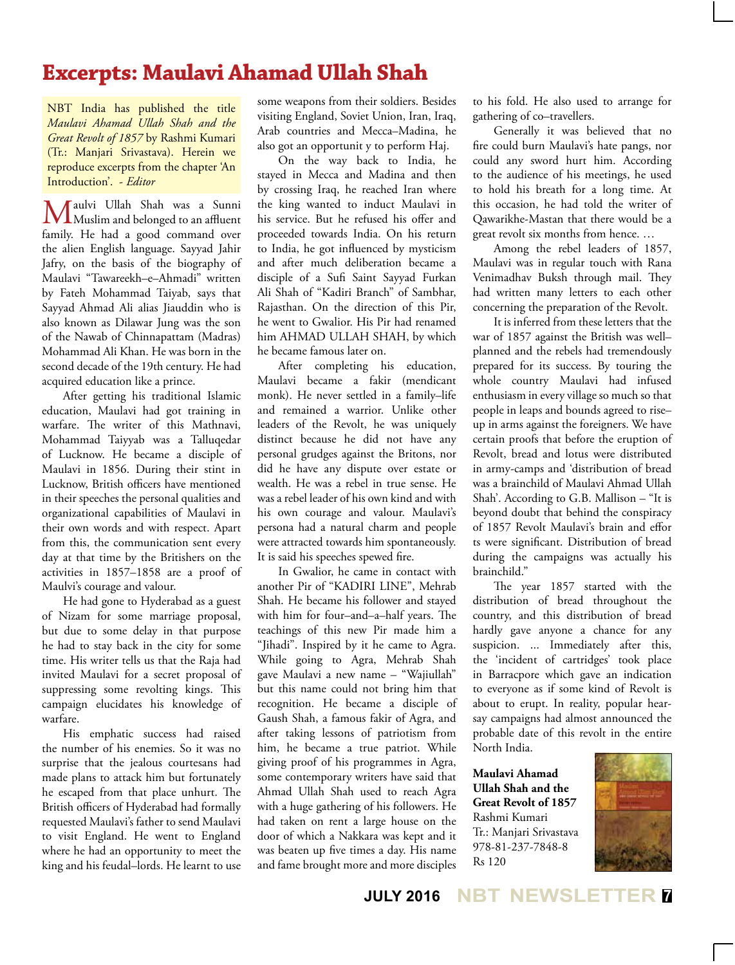## **Excerpts: Maulavi Ahamad Ullah Shah**

NBT India has published the title *Maulavi Ahamad Ullah Shah and the Great Revolt of 1857* by Rashmi Kumari (Tr.: Manjari Srivastava). Herein we reproduce excerpts from the chapter 'An Introduction'. - *Editor*

**Maulvi** Ullah Shah was a Sunni<br>
Muslim and belonged to an affluent family. He had a good command over the alien English language. Sayyad Jahir Jafry, on the basis of the biography of Maulavi "Tawareekh–e–Ahmadi" written by Fateh Mohammad Taiyab, says that Sayyad Ahmad Ali alias Jiauddin who is also known as Dilawar Jung was the son of the Nawab of Chinnapattam (Madras) Mohammad Ali Khan. He was born in the second decade of the 19th century. He had acquired education like a prince.

After getting his traditional Islamic education, Maulavi had got training in warfare. The writer of this Mathnavi, Mohammad Taiyyab was a Talluqedar of Lucknow. He became a disciple of Maulavi in 1856. During their stint in Lucknow, British officers have mentioned in their speeches the personal qualities and organizational capabilities of Maulavi in their own words and with respect. Apart from this, the communication sent every day at that time by the Britishers on the activities in 1857–1858 are a proof of Maulvi's courage and valour.

He had gone to Hyderabad as a guest of Nizam for some marriage proposal, but due to some delay in that purpose he had to stay back in the city for some time. His writer tells us that the Raja had invited Maulavi for a secret proposal of suppressing some revolting kings. This campaign elucidates his knowledge of warfare.

His emphatic success had raised the number of his enemies. So it was no surprise that the jealous courtesans had made plans to attack him but fortunately he escaped from that place unhurt. The British officers of Hyderabad had formally requested Maulavi's father to send Maulavi to visit England. He went to England where he had an opportunity to meet the king and his feudal–lords. He learnt to use some weapons from their soldiers. Besides visiting England, Soviet Union, Iran, Iraq, Arab countries and Mecca–Madina, he also got an opportunit y to perform Haj.

On the way back to India, he stayed in Mecca and Madina and then by crossing Iraq, he reached Iran where the king wanted to induct Maulavi in his service. But he refused his offer and proceeded towards India. On his return to India, he got influenced by mysticism and after much deliberation became a disciple of a Sufi Saint Sayyad Furkan Ali Shah of "Kadiri Branch" of Sambhar, Rajasthan. On the direction of this Pir, he went to Gwalior. His Pir had renamed him AHMAD ULLAH SHAH, by which he became famous later on.

After completing his education, Maulavi became a fakir (mendicant monk). He never settled in a family–life and remained a warrior. Unlike other leaders of the Revolt, he was uniquely distinct because he did not have any personal grudges against the Britons, nor did he have any dispute over estate or wealth. He was a rebel in true sense. He was a rebel leader of his own kind and with his own courage and valour. Maulavi's persona had a natural charm and people were attracted towards him spontaneously. It is said his speeches spewed fire.

In Gwalior, he came in contact with another Pir of "KADIRI LINE", Mehrab Shah. He became his follower and stayed with him for four–and–a–half years. The teachings of this new Pir made him a "Jihadi". Inspired by it he came to Agra. While going to Agra, Mehrab Shah gave Maulavi a new name – "Wajiullah" but this name could not bring him that recognition. He became a disciple of Gaush Shah, a famous fakir of Agra, and after taking lessons of patriotism from him, he became a true patriot. While giving proof of his programmes in Agra, some contemporary writers have said that Ahmad Ullah Shah used to reach Agra with a huge gathering of his followers. He had taken on rent a large house on the door of which a Nakkara was kept and it was beaten up five times a day. His name and fame brought more and more disciples

to his fold. He also used to arrange for gathering of co–travellers.

Generally it was believed that no fire could burn Maulavi's hate pangs, nor could any sword hurt him. According to the audience of his meetings, he used to hold his breath for a long time. At this occasion, he had told the writer of Qawarikhe-Mastan that there would be a great revolt six months from hence. …

Among the rebel leaders of 1857, Maulavi was in regular touch with Rana Venimadhav Buksh through mail. They had written many letters to each other concerning the preparation of the Revolt.

It is inferred from these letters that the war of 1857 against the British was well– planned and the rebels had tremendously prepared for its success. By touring the whole country Maulavi had infused enthusiasm in every village so much so that people in leaps and bounds agreed to rise– up in arms against the foreigners. We have certain proofs that before the eruption of Revolt, bread and lotus were distributed in army-camps and 'distribution of bread was a brainchild of Maulavi Ahmad Ullah Shah'. According to G.B. Mallison – "It is beyond doubt that behind the conspiracy of 1857 Revolt Maulavi's brain and effor ts were significant. Distribution of bread during the campaigns was actually his brainchild."

The year 1857 started with the distribution of bread throughout the country, and this distribution of bread hardly gave anyone a chance for any suspicion. ... Immediately after this, the 'incident of cartridges' took place in Barracpore which gave an indication to everyone as if some kind of Revolt is about to erupt. In reality, popular hearsay campaigns had almost announced the probable date of this revolt in the entire North India.

**Maulavi Ahamad Ullah Shah and the Great Revolt of 1857** Rashmi Kumari Tr.: Manjari Srivastava 978-81-237-7848-8 Rs 120